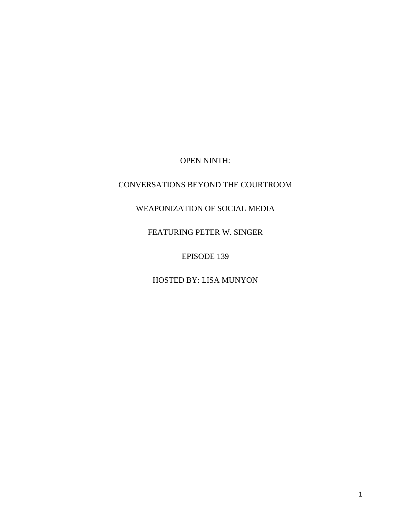OPEN NINTH:

## CONVERSATIONS BEYOND THE COURTROOM

WEAPONIZATION OF SOCIAL MEDIA

FEATURING PETER W. SINGER

EPISODE 139

HOSTED BY: LISA MUNYON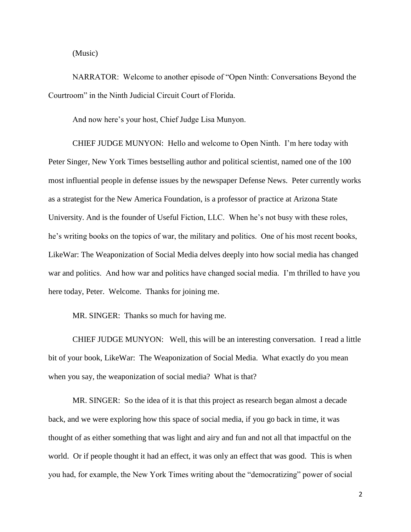(Music)

NARRATOR: Welcome to another episode of "Open Ninth: Conversations Beyond the Courtroom" in the Ninth Judicial Circuit Court of Florida.

And now here's your host, Chief Judge Lisa Munyon.

CHIEF JUDGE MUNYON: Hello and welcome to Open Ninth. I'm here today with Peter Singer, New York Times bestselling author and political scientist, named one of the 100 most influential people in defense issues by the newspaper Defense News. Peter currently works as a strategist for the New America Foundation, is a professor of practice at Arizona State University. And is the founder of Useful Fiction, LLC. When he's not busy with these roles, he's writing books on the topics of war, the military and politics. One of his most recent books, LikeWar: The Weaponization of Social Media delves deeply into how social media has changed war and politics. And how war and politics have changed social media. I'm thrilled to have you here today, Peter. Welcome. Thanks for joining me.

MR. SINGER: Thanks so much for having me.

CHIEF JUDGE MUNYON: Well, this will be an interesting conversation. I read a little bit of your book, LikeWar: The Weaponization of Social Media. What exactly do you mean when you say, the weaponization of social media? What is that?

MR. SINGER: So the idea of it is that this project as research began almost a decade back, and we were exploring how this space of social media, if you go back in time, it was thought of as either something that was light and airy and fun and not all that impactful on the world. Or if people thought it had an effect, it was only an effect that was good. This is when you had, for example, the New York Times writing about the "democratizing" power of social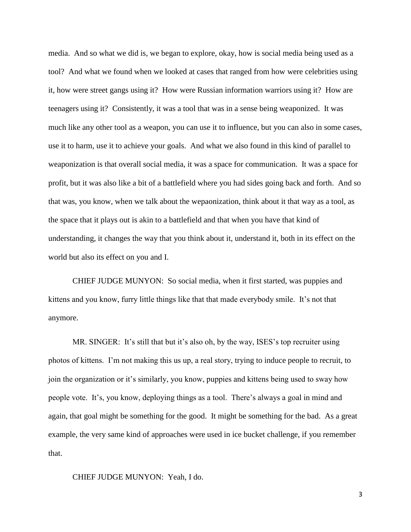media. And so what we did is, we began to explore, okay, how is social media being used as a tool? And what we found when we looked at cases that ranged from how were celebrities using it, how were street gangs using it? How were Russian information warriors using it? How are teenagers using it? Consistently, it was a tool that was in a sense being weaponized. It was much like any other tool as a weapon, you can use it to influence, but you can also in some cases, use it to harm, use it to achieve your goals. And what we also found in this kind of parallel to weaponization is that overall social media, it was a space for communication. It was a space for profit, but it was also like a bit of a battlefield where you had sides going back and forth. And so that was, you know, when we talk about the wepaonization, think about it that way as a tool, as the space that it plays out is akin to a battlefield and that when you have that kind of understanding, it changes the way that you think about it, understand it, both in its effect on the world but also its effect on you and I.

CHIEF JUDGE MUNYON: So social media, when it first started, was puppies and kittens and you know, furry little things like that that made everybody smile. It's not that anymore.

MR. SINGER: It's still that but it's also oh, by the way, ISES's top recruiter using photos of kittens. I'm not making this us up, a real story, trying to induce people to recruit, to join the organization or it's similarly, you know, puppies and kittens being used to sway how people vote. It's, you know, deploying things as a tool. There's always a goal in mind and again, that goal might be something for the good. It might be something for the bad. As a great example, the very same kind of approaches were used in ice bucket challenge, if you remember that.

CHIEF JUDGE MUNYON: Yeah, I do.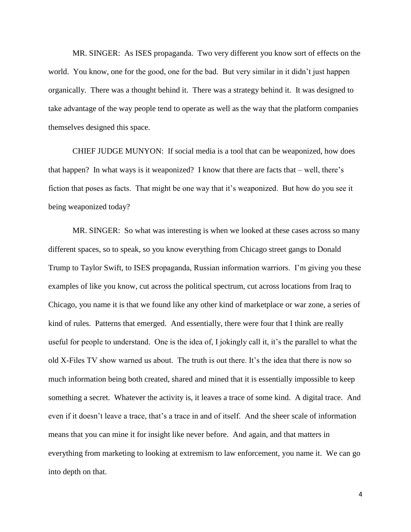MR. SINGER: As ISES propaganda. Two very different you know sort of effects on the world. You know, one for the good, one for the bad. But very similar in it didn't just happen organically. There was a thought behind it. There was a strategy behind it. It was designed to take advantage of the way people tend to operate as well as the way that the platform companies themselves designed this space.

CHIEF JUDGE MUNYON: If social media is a tool that can be weaponized, how does that happen? In what ways is it weaponized? I know that there are facts that – well, there's fiction that poses as facts. That might be one way that it's weaponized. But how do you see it being weaponized today?

MR. SINGER: So what was interesting is when we looked at these cases across so many different spaces, so to speak, so you know everything from Chicago street gangs to Donald Trump to Taylor Swift, to ISES propaganda, Russian information warriors. I'm giving you these examples of like you know, cut across the political spectrum, cut across locations from Iraq to Chicago, you name it is that we found like any other kind of marketplace or war zone, a series of kind of rules. Patterns that emerged. And essentially, there were four that I think are really useful for people to understand. One is the idea of, I jokingly call it, it's the parallel to what the old X-Files TV show warned us about. The truth is out there. It's the idea that there is now so much information being both created, shared and mined that it is essentially impossible to keep something a secret. Whatever the activity is, it leaves a trace of some kind. A digital trace. And even if it doesn't leave a trace, that's a trace in and of itself. And the sheer scale of information means that you can mine it for insight like never before. And again, and that matters in everything from marketing to looking at extremism to law enforcement, you name it. We can go into depth on that.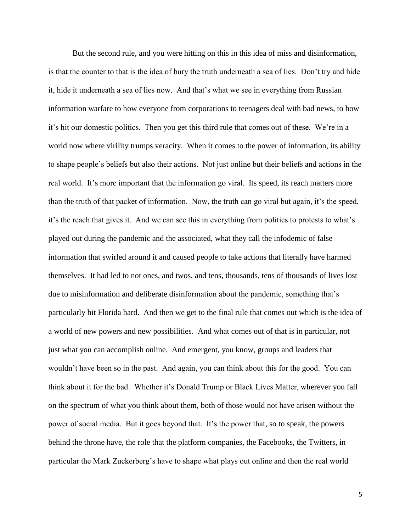But the second rule, and you were hitting on this in this idea of miss and disinformation, is that the counter to that is the idea of bury the truth underneath a sea of lies. Don't try and hide it, hide it underneath a sea of lies now. And that's what we see in everything from Russian information warfare to how everyone from corporations to teenagers deal with bad news, to how it's hit our domestic politics. Then you get this third rule that comes out of these. We're in a world now where virility trumps veracity. When it comes to the power of information, its ability to shape people's beliefs but also their actions. Not just online but their beliefs and actions in the real world. It's more important that the information go viral. Its speed, its reach matters more than the truth of that packet of information. Now, the truth can go viral but again, it's the speed, it's the reach that gives it. And we can see this in everything from politics to protests to what's played out during the pandemic and the associated, what they call the infodemic of false information that swirled around it and caused people to take actions that literally have harmed themselves. It had led to not ones, and twos, and tens, thousands, tens of thousands of lives lost due to misinformation and deliberate disinformation about the pandemic, something that's particularly hit Florida hard. And then we get to the final rule that comes out which is the idea of a world of new powers and new possibilities. And what comes out of that is in particular, not just what you can accomplish online. And emergent, you know, groups and leaders that wouldn't have been so in the past. And again, you can think about this for the good. You can think about it for the bad. Whether it's Donald Trump or Black Lives Matter, wherever you fall on the spectrum of what you think about them, both of those would not have arisen without the power of social media. But it goes beyond that. It's the power that, so to speak, the powers behind the throne have, the role that the platform companies, the Facebooks, the Twitters, in particular the Mark Zuckerberg's have to shape what plays out online and then the real world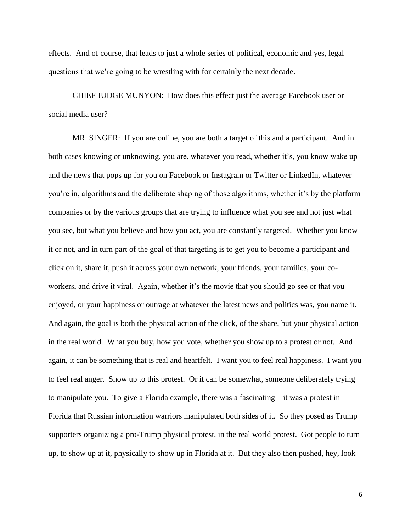effects. And of course, that leads to just a whole series of political, economic and yes, legal questions that we're going to be wrestling with for certainly the next decade.

CHIEF JUDGE MUNYON: How does this effect just the average Facebook user or social media user?

MR. SINGER: If you are online, you are both a target of this and a participant. And in both cases knowing or unknowing, you are, whatever you read, whether it's, you know wake up and the news that pops up for you on Facebook or Instagram or Twitter or LinkedIn, whatever you're in, algorithms and the deliberate shaping of those algorithms, whether it's by the platform companies or by the various groups that are trying to influence what you see and not just what you see, but what you believe and how you act, you are constantly targeted. Whether you know it or not, and in turn part of the goal of that targeting is to get you to become a participant and click on it, share it, push it across your own network, your friends, your families, your coworkers, and drive it viral. Again, whether it's the movie that you should go see or that you enjoyed, or your happiness or outrage at whatever the latest news and politics was, you name it. And again, the goal is both the physical action of the click, of the share, but your physical action in the real world. What you buy, how you vote, whether you show up to a protest or not. And again, it can be something that is real and heartfelt. I want you to feel real happiness. I want you to feel real anger. Show up to this protest. Or it can be somewhat, someone deliberately trying to manipulate you. To give a Florida example, there was a fascinating – it was a protest in Florida that Russian information warriors manipulated both sides of it. So they posed as Trump supporters organizing a pro-Trump physical protest, in the real world protest. Got people to turn up, to show up at it, physically to show up in Florida at it. But they also then pushed, hey, look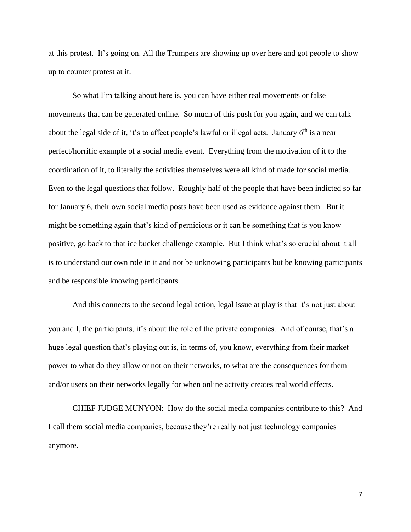at this protest. It's going on. All the Trumpers are showing up over here and got people to show up to counter protest at it.

So what I'm talking about here is, you can have either real movements or false movements that can be generated online. So much of this push for you again, and we can talk about the legal side of it, it's to affect people's lawful or illegal acts. January  $6<sup>th</sup>$  is a near perfect/horrific example of a social media event. Everything from the motivation of it to the coordination of it, to literally the activities themselves were all kind of made for social media. Even to the legal questions that follow. Roughly half of the people that have been indicted so far for January 6, their own social media posts have been used as evidence against them. But it might be something again that's kind of pernicious or it can be something that is you know positive, go back to that ice bucket challenge example. But I think what's so crucial about it all is to understand our own role in it and not be unknowing participants but be knowing participants and be responsible knowing participants.

And this connects to the second legal action, legal issue at play is that it's not just about you and I, the participants, it's about the role of the private companies. And of course, that's a huge legal question that's playing out is, in terms of, you know, everything from their market power to what do they allow or not on their networks, to what are the consequences for them and/or users on their networks legally for when online activity creates real world effects.

CHIEF JUDGE MUNYON: How do the social media companies contribute to this? And I call them social media companies, because they're really not just technology companies anymore.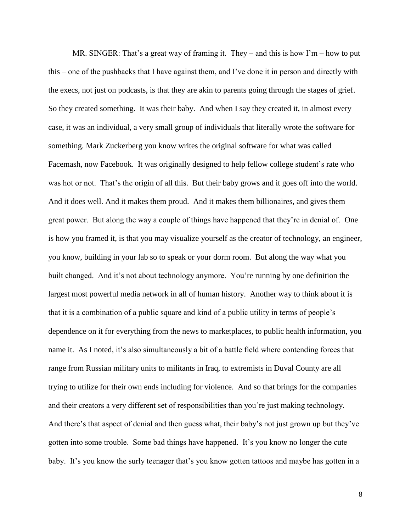MR. SINGER: That's a great way of framing it. They – and this is how  $\Gamma m$  – how to put this – one of the pushbacks that I have against them, and I've done it in person and directly with the execs, not just on podcasts, is that they are akin to parents going through the stages of grief. So they created something. It was their baby. And when I say they created it, in almost every case, it was an individual, a very small group of individuals that literally wrote the software for something. Mark Zuckerberg you know writes the original software for what was called Facemash, now Facebook. It was originally designed to help fellow college student's rate who was hot or not. That's the origin of all this. But their baby grows and it goes off into the world. And it does well. And it makes them proud. And it makes them billionaires, and gives them great power. But along the way a couple of things have happened that they're in denial of. One is how you framed it, is that you may visualize yourself as the creator of technology, an engineer, you know, building in your lab so to speak or your dorm room. But along the way what you built changed. And it's not about technology anymore. You're running by one definition the largest most powerful media network in all of human history. Another way to think about it is that it is a combination of a public square and kind of a public utility in terms of people's dependence on it for everything from the news to marketplaces, to public health information, you name it. As I noted, it's also simultaneously a bit of a battle field where contending forces that range from Russian military units to militants in Iraq, to extremists in Duval County are all trying to utilize for their own ends including for violence. And so that brings for the companies and their creators a very different set of responsibilities than you're just making technology. And there's that aspect of denial and then guess what, their baby's not just grown up but they've gotten into some trouble. Some bad things have happened. It's you know no longer the cute baby. It's you know the surly teenager that's you know gotten tattoos and maybe has gotten in a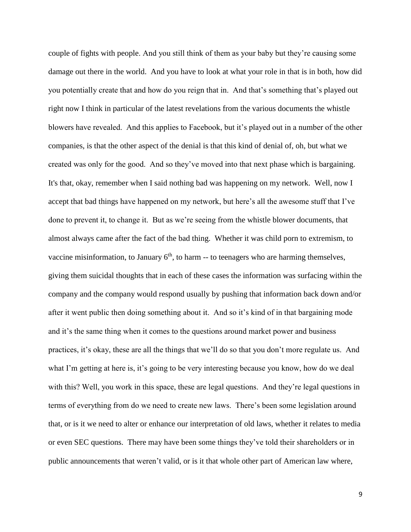couple of fights with people. And you still think of them as your baby but they're causing some damage out there in the world. And you have to look at what your role in that is in both, how did you potentially create that and how do you reign that in. And that's something that's played out right now I think in particular of the latest revelations from the various documents the whistle blowers have revealed. And this applies to Facebook, but it's played out in a number of the other companies, is that the other aspect of the denial is that this kind of denial of, oh, but what we created was only for the good. And so they've moved into that next phase which is bargaining. It's that, okay, remember when I said nothing bad was happening on my network. Well, now I accept that bad things have happened on my network, but here's all the awesome stuff that I've done to prevent it, to change it. But as we're seeing from the whistle blower documents, that almost always came after the fact of the bad thing. Whether it was child porn to extremism, to vaccine misinformation, to January  $6<sup>th</sup>$ , to harm  $-$  to teenagers who are harming themselves, giving them suicidal thoughts that in each of these cases the information was surfacing within the company and the company would respond usually by pushing that information back down and/or after it went public then doing something about it. And so it's kind of in that bargaining mode and it's the same thing when it comes to the questions around market power and business practices, it's okay, these are all the things that we'll do so that you don't more regulate us. And what I'm getting at here is, it's going to be very interesting because you know, how do we deal with this? Well, you work in this space, these are legal questions. And they're legal questions in terms of everything from do we need to create new laws. There's been some legislation around that, or is it we need to alter or enhance our interpretation of old laws, whether it relates to media or even SEC questions. There may have been some things they've told their shareholders or in public announcements that weren't valid, or is it that whole other part of American law where,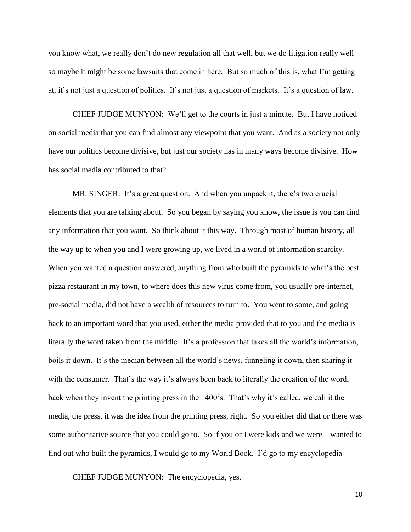you know what, we really don't do new regulation all that well, but we do litigation really well so maybe it might be some lawsuits that come in here. But so much of this is, what I'm getting at, it's not just a question of politics. It's not just a question of markets. It's a question of law.

CHIEF JUDGE MUNYON: We'll get to the courts in just a minute. But I have noticed on social media that you can find almost any viewpoint that you want. And as a society not only have our politics become divisive, but just our society has in many ways become divisive. How has social media contributed to that?

MR. SINGER: It's a great question. And when you unpack it, there's two crucial elements that you are talking about. So you began by saying you know, the issue is you can find any information that you want. So think about it this way. Through most of human history, all the way up to when you and I were growing up, we lived in a world of information scarcity. When you wanted a question answered, anything from who built the pyramids to what's the best pizza restaurant in my town, to where does this new virus come from, you usually pre-internet, pre-social media, did not have a wealth of resources to turn to. You went to some, and going back to an important word that you used, either the media provided that to you and the media is literally the word taken from the middle. It's a profession that takes all the world's information, boils it down. It's the median between all the world's news, funneling it down, then sharing it with the consumer. That's the way it's always been back to literally the creation of the word, back when they invent the printing press in the 1400's. That's why it's called, we call it the media, the press, it was the idea from the printing press, right. So you either did that or there was some authoritative source that you could go to. So if you or I were kids and we were – wanted to find out who built the pyramids, I would go to my World Book. I'd go to my encyclopedia –

CHIEF JUDGE MUNYON: The encyclopedia, yes.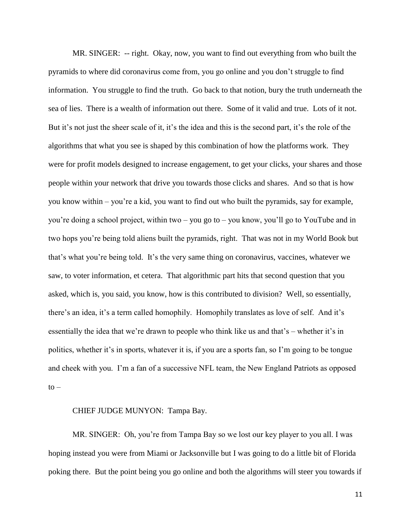MR. SINGER: -- right. Okay, now, you want to find out everything from who built the pyramids to where did coronavirus come from, you go online and you don't struggle to find information. You struggle to find the truth. Go back to that notion, bury the truth underneath the sea of lies. There is a wealth of information out there. Some of it valid and true. Lots of it not. But it's not just the sheer scale of it, it's the idea and this is the second part, it's the role of the algorithms that what you see is shaped by this combination of how the platforms work. They were for profit models designed to increase engagement, to get your clicks, your shares and those people within your network that drive you towards those clicks and shares. And so that is how you know within – you're a kid, you want to find out who built the pyramids, say for example, you're doing a school project, within two – you go to – you know, you'll go to YouTube and in two hops you're being told aliens built the pyramids, right. That was not in my World Book but that's what you're being told. It's the very same thing on coronavirus, vaccines, whatever we saw, to voter information, et cetera. That algorithmic part hits that second question that you asked, which is, you said, you know, how is this contributed to division? Well, so essentially, there's an idea, it's a term called homophily. Homophily translates as love of self. And it's essentially the idea that we're drawn to people who think like us and that's – whether it's in politics, whether it's in sports, whatever it is, if you are a sports fan, so I'm going to be tongue and cheek with you. I'm a fan of a successive NFL team, the New England Patriots as opposed  $to -$ 

## CHIEF JUDGE MUNYON: Tampa Bay.

MR. SINGER: Oh, you're from Tampa Bay so we lost our key player to you all. I was hoping instead you were from Miami or Jacksonville but I was going to do a little bit of Florida poking there. But the point being you go online and both the algorithms will steer you towards if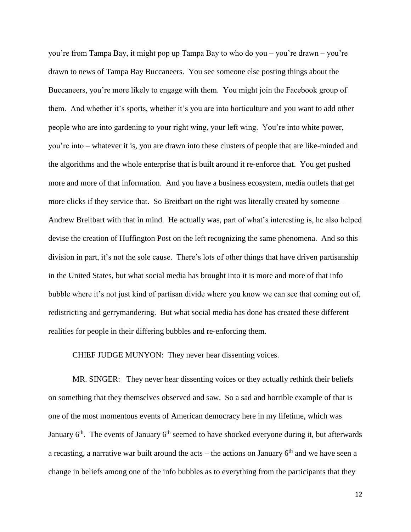you're from Tampa Bay, it might pop up Tampa Bay to who do you – you're drawn – you're drawn to news of Tampa Bay Buccaneers. You see someone else posting things about the Buccaneers, you're more likely to engage with them. You might join the Facebook group of them. And whether it's sports, whether it's you are into horticulture and you want to add other people who are into gardening to your right wing, your left wing. You're into white power, you're into – whatever it is, you are drawn into these clusters of people that are like-minded and the algorithms and the whole enterprise that is built around it re-enforce that. You get pushed more and more of that information. And you have a business ecosystem, media outlets that get more clicks if they service that. So Breitbart on the right was literally created by someone – Andrew Breitbart with that in mind. He actually was, part of what's interesting is, he also helped devise the creation of Huffington Post on the left recognizing the same phenomena. And so this division in part, it's not the sole cause. There's lots of other things that have driven partisanship in the United States, but what social media has brought into it is more and more of that info bubble where it's not just kind of partisan divide where you know we can see that coming out of, redistricting and gerrymandering. But what social media has done has created these different realities for people in their differing bubbles and re-enforcing them.

CHIEF JUDGE MUNYON: They never hear dissenting voices.

MR. SINGER: They never hear dissenting voices or they actually rethink their beliefs on something that they themselves observed and saw. So a sad and horrible example of that is one of the most momentous events of American democracy here in my lifetime, which was January  $6<sup>th</sup>$ . The events of January  $6<sup>th</sup>$  seemed to have shocked everyone during it, but afterwards a recasting, a narrative war built around the acts – the actions on January  $6<sup>th</sup>$  and we have seen a change in beliefs among one of the info bubbles as to everything from the participants that they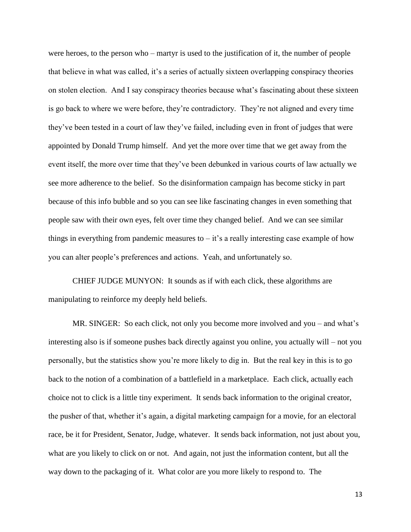were heroes, to the person who – martyr is used to the justification of it, the number of people that believe in what was called, it's a series of actually sixteen overlapping conspiracy theories on stolen election. And I say conspiracy theories because what's fascinating about these sixteen is go back to where we were before, they're contradictory. They're not aligned and every time they've been tested in a court of law they've failed, including even in front of judges that were appointed by Donald Trump himself. And yet the more over time that we get away from the event itself, the more over time that they've been debunked in various courts of law actually we see more adherence to the belief. So the disinformation campaign has become sticky in part because of this info bubble and so you can see like fascinating changes in even something that people saw with their own eyes, felt over time they changed belief. And we can see similar things in everything from pandemic measures to  $-$  it's a really interesting case example of how you can alter people's preferences and actions. Yeah, and unfortunately so.

CHIEF JUDGE MUNYON: It sounds as if with each click, these algorithms are manipulating to reinforce my deeply held beliefs.

MR. SINGER: So each click, not only you become more involved and you – and what's interesting also is if someone pushes back directly against you online, you actually will – not you personally, but the statistics show you're more likely to dig in. But the real key in this is to go back to the notion of a combination of a battlefield in a marketplace. Each click, actually each choice not to click is a little tiny experiment. It sends back information to the original creator, the pusher of that, whether it's again, a digital marketing campaign for a movie, for an electoral race, be it for President, Senator, Judge, whatever. It sends back information, not just about you, what are you likely to click on or not. And again, not just the information content, but all the way down to the packaging of it. What color are you more likely to respond to. The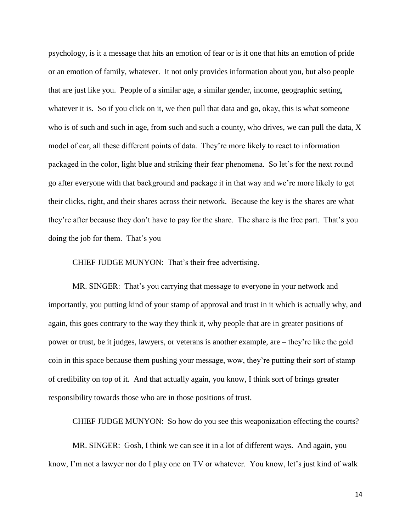psychology, is it a message that hits an emotion of fear or is it one that hits an emotion of pride or an emotion of family, whatever. It not only provides information about you, but also people that are just like you. People of a similar age, a similar gender, income, geographic setting, whatever it is. So if you click on it, we then pull that data and go, okay, this is what someone who is of such and such in age, from such and such a county, who drives, we can pull the data, X model of car, all these different points of data. They're more likely to react to information packaged in the color, light blue and striking their fear phenomena. So let's for the next round go after everyone with that background and package it in that way and we're more likely to get their clicks, right, and their shares across their network. Because the key is the shares are what they're after because they don't have to pay for the share. The share is the free part. That's you doing the job for them. That's you –

CHIEF JUDGE MUNYON: That's their free advertising.

MR. SINGER: That's you carrying that message to everyone in your network and importantly, you putting kind of your stamp of approval and trust in it which is actually why, and again, this goes contrary to the way they think it, why people that are in greater positions of power or trust, be it judges, lawyers, or veterans is another example, are – they're like the gold coin in this space because them pushing your message, wow, they're putting their sort of stamp of credibility on top of it. And that actually again, you know, I think sort of brings greater responsibility towards those who are in those positions of trust.

CHIEF JUDGE MUNYON: So how do you see this weaponization effecting the courts?

MR. SINGER: Gosh, I think we can see it in a lot of different ways. And again, you know, I'm not a lawyer nor do I play one on TV or whatever. You know, let's just kind of walk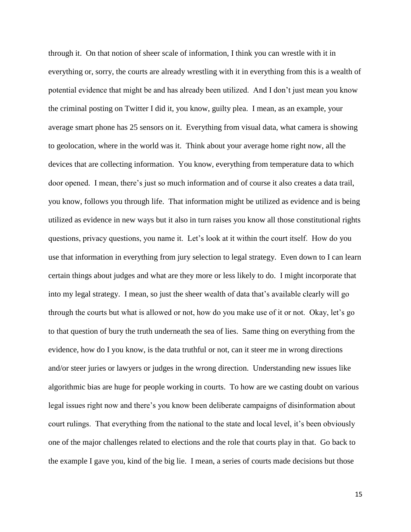through it. On that notion of sheer scale of information, I think you can wrestle with it in everything or, sorry, the courts are already wrestling with it in everything from this is a wealth of potential evidence that might be and has already been utilized. And I don't just mean you know the criminal posting on Twitter I did it, you know, guilty plea. I mean, as an example, your average smart phone has 25 sensors on it. Everything from visual data, what camera is showing to geolocation, where in the world was it. Think about your average home right now, all the devices that are collecting information. You know, everything from temperature data to which door opened. I mean, there's just so much information and of course it also creates a data trail, you know, follows you through life. That information might be utilized as evidence and is being utilized as evidence in new ways but it also in turn raises you know all those constitutional rights questions, privacy questions, you name it. Let's look at it within the court itself. How do you use that information in everything from jury selection to legal strategy. Even down to I can learn certain things about judges and what are they more or less likely to do. I might incorporate that into my legal strategy. I mean, so just the sheer wealth of data that's available clearly will go through the courts but what is allowed or not, how do you make use of it or not. Okay, let's go to that question of bury the truth underneath the sea of lies. Same thing on everything from the evidence, how do I you know, is the data truthful or not, can it steer me in wrong directions and/or steer juries or lawyers or judges in the wrong direction. Understanding new issues like algorithmic bias are huge for people working in courts. To how are we casting doubt on various legal issues right now and there's you know been deliberate campaigns of disinformation about court rulings. That everything from the national to the state and local level, it's been obviously one of the major challenges related to elections and the role that courts play in that. Go back to the example I gave you, kind of the big lie. I mean, a series of courts made decisions but those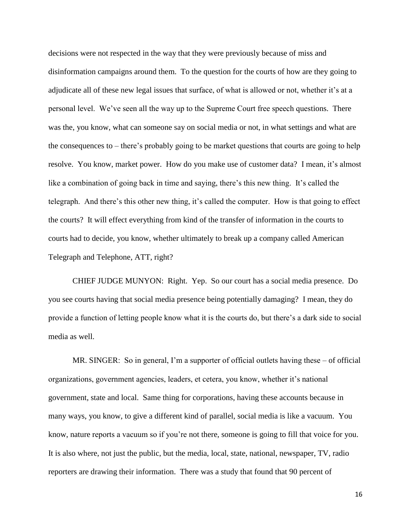decisions were not respected in the way that they were previously because of miss and disinformation campaigns around them. To the question for the courts of how are they going to adjudicate all of these new legal issues that surface, of what is allowed or not, whether it's at a personal level. We've seen all the way up to the Supreme Court free speech questions. There was the, you know, what can someone say on social media or not, in what settings and what are the consequences to – there's probably going to be market questions that courts are going to help resolve. You know, market power. How do you make use of customer data? I mean, it's almost like a combination of going back in time and saying, there's this new thing. It's called the telegraph. And there's this other new thing, it's called the computer. How is that going to effect the courts? It will effect everything from kind of the transfer of information in the courts to courts had to decide, you know, whether ultimately to break up a company called American Telegraph and Telephone, ATT, right?

CHIEF JUDGE MUNYON: Right. Yep. So our court has a social media presence. Do you see courts having that social media presence being potentially damaging? I mean, they do provide a function of letting people know what it is the courts do, but there's a dark side to social media as well.

MR. SINGER: So in general, I'm a supporter of official outlets having these – of official organizations, government agencies, leaders, et cetera, you know, whether it's national government, state and local. Same thing for corporations, having these accounts because in many ways, you know, to give a different kind of parallel, social media is like a vacuum. You know, nature reports a vacuum so if you're not there, someone is going to fill that voice for you. It is also where, not just the public, but the media, local, state, national, newspaper, TV, radio reporters are drawing their information. There was a study that found that 90 percent of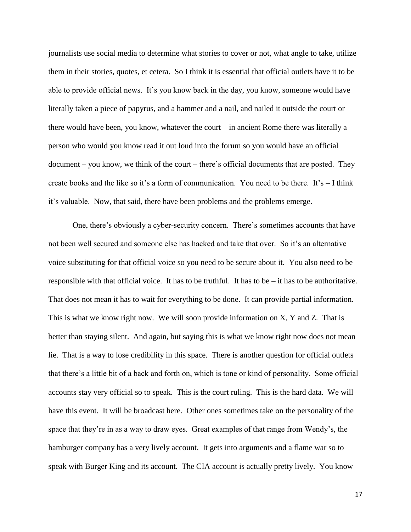journalists use social media to determine what stories to cover or not, what angle to take, utilize them in their stories, quotes, et cetera. So I think it is essential that official outlets have it to be able to provide official news. It's you know back in the day, you know, someone would have literally taken a piece of papyrus, and a hammer and a nail, and nailed it outside the court or there would have been, you know, whatever the court – in ancient Rome there was literally a person who would you know read it out loud into the forum so you would have an official document – you know, we think of the court – there's official documents that are posted. They create books and the like so it's a form of communication. You need to be there. It's – I think it's valuable. Now, that said, there have been problems and the problems emerge.

One, there's obviously a cyber-security concern. There's sometimes accounts that have not been well secured and someone else has hacked and take that over. So it's an alternative voice substituting for that official voice so you need to be secure about it. You also need to be responsible with that official voice. It has to be truthful. It has to be  $-$  it has to be authoritative. That does not mean it has to wait for everything to be done. It can provide partial information. This is what we know right now. We will soon provide information on X, Y and Z. That is better than staying silent. And again, but saying this is what we know right now does not mean lie. That is a way to lose credibility in this space. There is another question for official outlets that there's a little bit of a back and forth on, which is tone or kind of personality. Some official accounts stay very official so to speak. This is the court ruling. This is the hard data. We will have this event. It will be broadcast here. Other ones sometimes take on the personality of the space that they're in as a way to draw eyes. Great examples of that range from Wendy's, the hamburger company has a very lively account. It gets into arguments and a flame war so to speak with Burger King and its account. The CIA account is actually pretty lively. You know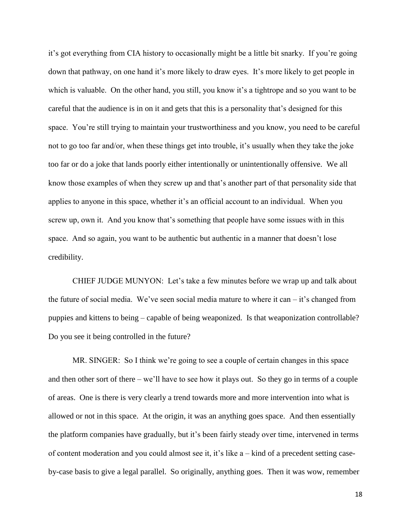it's got everything from CIA history to occasionally might be a little bit snarky. If you're going down that pathway, on one hand it's more likely to draw eyes. It's more likely to get people in which is valuable. On the other hand, you still, you know it's a tightrope and so you want to be careful that the audience is in on it and gets that this is a personality that's designed for this space. You're still trying to maintain your trustworthiness and you know, you need to be careful not to go too far and/or, when these things get into trouble, it's usually when they take the joke too far or do a joke that lands poorly either intentionally or unintentionally offensive. We all know those examples of when they screw up and that's another part of that personality side that applies to anyone in this space, whether it's an official account to an individual. When you screw up, own it. And you know that's something that people have some issues with in this space. And so again, you want to be authentic but authentic in a manner that doesn't lose credibility.

CHIEF JUDGE MUNYON: Let's take a few minutes before we wrap up and talk about the future of social media. We've seen social media mature to where it can – it's changed from puppies and kittens to being – capable of being weaponized. Is that weaponization controllable? Do you see it being controlled in the future?

MR. SINGER: So I think we're going to see a couple of certain changes in this space and then other sort of there – we'll have to see how it plays out. So they go in terms of a couple of areas. One is there is very clearly a trend towards more and more intervention into what is allowed or not in this space. At the origin, it was an anything goes space. And then essentially the platform companies have gradually, but it's been fairly steady over time, intervened in terms of content moderation and you could almost see it, it's like a – kind of a precedent setting caseby-case basis to give a legal parallel. So originally, anything goes. Then it was wow, remember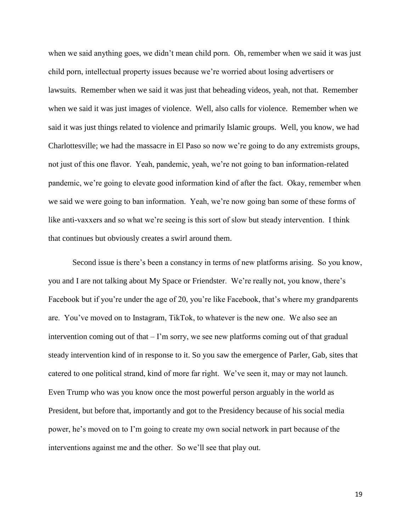when we said anything goes, we didn't mean child porn. Oh, remember when we said it was just child porn, intellectual property issues because we're worried about losing advertisers or lawsuits. Remember when we said it was just that beheading videos, yeah, not that. Remember when we said it was just images of violence. Well, also calls for violence. Remember when we said it was just things related to violence and primarily Islamic groups. Well, you know, we had Charlottesville; we had the massacre in El Paso so now we're going to do any extremists groups, not just of this one flavor. Yeah, pandemic, yeah, we're not going to ban information-related pandemic, we're going to elevate good information kind of after the fact. Okay, remember when we said we were going to ban information. Yeah, we're now going ban some of these forms of like anti-vaxxers and so what we're seeing is this sort of slow but steady intervention. I think that continues but obviously creates a swirl around them.

Second issue is there's been a constancy in terms of new platforms arising. So you know, you and I are not talking about My Space or Friendster. We're really not, you know, there's Facebook but if you're under the age of 20, you're like Facebook, that's where my grandparents are. You've moved on to Instagram, TikTok, to whatever is the new one. We also see an intervention coming out of that – I'm sorry, we see new platforms coming out of that gradual steady intervention kind of in response to it. So you saw the emergence of Parler, Gab, sites that catered to one political strand, kind of more far right. We've seen it, may or may not launch. Even Trump who was you know once the most powerful person arguably in the world as President, but before that, importantly and got to the Presidency because of his social media power, he's moved on to I'm going to create my own social network in part because of the interventions against me and the other. So we'll see that play out.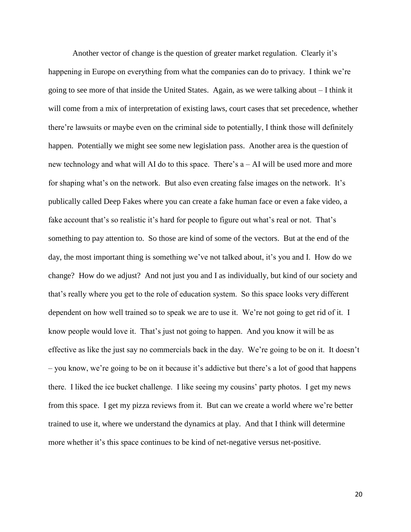Another vector of change is the question of greater market regulation. Clearly it's happening in Europe on everything from what the companies can do to privacy. I think we're going to see more of that inside the United States. Again, as we were talking about – I think it will come from a mix of interpretation of existing laws, court cases that set precedence, whether there're lawsuits or maybe even on the criminal side to potentially, I think those will definitely happen. Potentially we might see some new legislation pass. Another area is the question of new technology and what will AI do to this space. There's a – AI will be used more and more for shaping what's on the network. But also even creating false images on the network. It's publically called Deep Fakes where you can create a fake human face or even a fake video, a fake account that's so realistic it's hard for people to figure out what's real or not. That's something to pay attention to. So those are kind of some of the vectors. But at the end of the day, the most important thing is something we've not talked about, it's you and I. How do we change? How do we adjust? And not just you and I as individually, but kind of our society and that's really where you get to the role of education system. So this space looks very different dependent on how well trained so to speak we are to use it. We're not going to get rid of it. I know people would love it. That's just not going to happen. And you know it will be as effective as like the just say no commercials back in the day. We're going to be on it. It doesn't – you know, we're going to be on it because it's addictive but there's a lot of good that happens there. I liked the ice bucket challenge. I like seeing my cousins' party photos. I get my news from this space. I get my pizza reviews from it. But can we create a world where we're better trained to use it, where we understand the dynamics at play. And that I think will determine more whether it's this space continues to be kind of net-negative versus net-positive.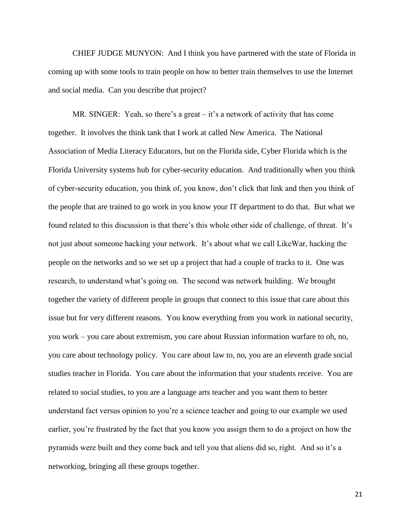CHIEF JUDGE MUNYON: And I think you have partnered with the state of Florida in coming up with some tools to train people on how to better train themselves to use the Internet and social media. Can you describe that project?

MR. SINGER: Yeah, so there's a great – it's a network of activity that has come together. It involves the think tank that I work at called New America. The National Association of Media Literacy Educators, but on the Florida side, Cyber Florida which is the Florida University systems hub for cyber-security education. And traditionally when you think of cyber-security education, you think of, you know, don't click that link and then you think of the people that are trained to go work in you know your IT department to do that. But what we found related to this discussion is that there's this whole other side of challenge, of threat. It's not just about someone hacking your network. It's about what we call LikeWar, hacking the people on the networks and so we set up a project that had a couple of tracks to it. One was research, to understand what's going on. The second was network building. We brought together the variety of different people in groups that connect to this issue that care about this issue but for very different reasons. You know everything from you work in national security, you work – you care about extremism, you care about Russian information warfare to oh, no, you care about technology policy. You care about law to, no, you are an eleventh grade social studies teacher in Florida. You care about the information that your students receive. You are related to social studies, to you are a language arts teacher and you want them to better understand fact versus opinion to you're a science teacher and going to our example we used earlier, you're frustrated by the fact that you know you assign them to do a project on how the pyramids were built and they come back and tell you that aliens did so, right. And so it's a networking, bringing all these groups together.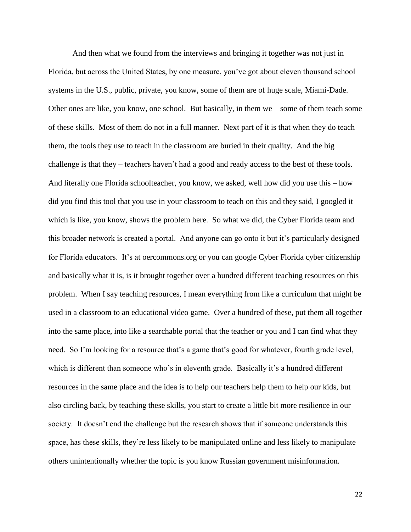And then what we found from the interviews and bringing it together was not just in Florida, but across the United States, by one measure, you've got about eleven thousand school systems in the U.S., public, private, you know, some of them are of huge scale, Miami-Dade. Other ones are like, you know, one school. But basically, in them we – some of them teach some of these skills. Most of them do not in a full manner. Next part of it is that when they do teach them, the tools they use to teach in the classroom are buried in their quality. And the big challenge is that they – teachers haven't had a good and ready access to the best of these tools. And literally one Florida schoolteacher, you know, we asked, well how did you use this – how did you find this tool that you use in your classroom to teach on this and they said, I googled it which is like, you know, shows the problem here. So what we did, the Cyber Florida team and this broader network is created a portal. And anyone can go onto it but it's particularly designed for Florida educators. It's at oercommons.org or you can google Cyber Florida cyber citizenship and basically what it is, is it brought together over a hundred different teaching resources on this problem. When I say teaching resources, I mean everything from like a curriculum that might be used in a classroom to an educational video game. Over a hundred of these, put them all together into the same place, into like a searchable portal that the teacher or you and I can find what they need. So I'm looking for a resource that's a game that's good for whatever, fourth grade level, which is different than someone who's in eleventh grade. Basically it's a hundred different resources in the same place and the idea is to help our teachers help them to help our kids, but also circling back, by teaching these skills, you start to create a little bit more resilience in our society. It doesn't end the challenge but the research shows that if someone understands this space, has these skills, they're less likely to be manipulated online and less likely to manipulate others unintentionally whether the topic is you know Russian government misinformation.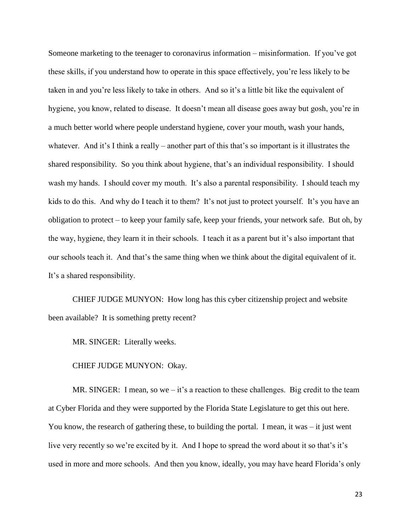Someone marketing to the teenager to coronavirus information – misinformation. If you've got these skills, if you understand how to operate in this space effectively, you're less likely to be taken in and you're less likely to take in others. And so it's a little bit like the equivalent of hygiene, you know, related to disease. It doesn't mean all disease goes away but gosh, you're in a much better world where people understand hygiene, cover your mouth, wash your hands, whatever. And it's I think a really – another part of this that's so important is it illustrates the shared responsibility. So you think about hygiene, that's an individual responsibility. I should wash my hands. I should cover my mouth. It's also a parental responsibility. I should teach my kids to do this. And why do I teach it to them? It's not just to protect yourself. It's you have an obligation to protect – to keep your family safe, keep your friends, your network safe. But oh, by the way, hygiene, they learn it in their schools. I teach it as a parent but it's also important that our schools teach it. And that's the same thing when we think about the digital equivalent of it. It's a shared responsibility.

CHIEF JUDGE MUNYON: How long has this cyber citizenship project and website been available? It is something pretty recent?

MR. SINGER: Literally weeks.

CHIEF JUDGE MUNYON: Okay.

MR. SINGER: I mean, so we  $-$  it's a reaction to these challenges. Big credit to the team at Cyber Florida and they were supported by the Florida State Legislature to get this out here. You know, the research of gathering these, to building the portal. I mean, it was – it just went live very recently so we're excited by it. And I hope to spread the word about it so that's it's used in more and more schools. And then you know, ideally, you may have heard Florida's only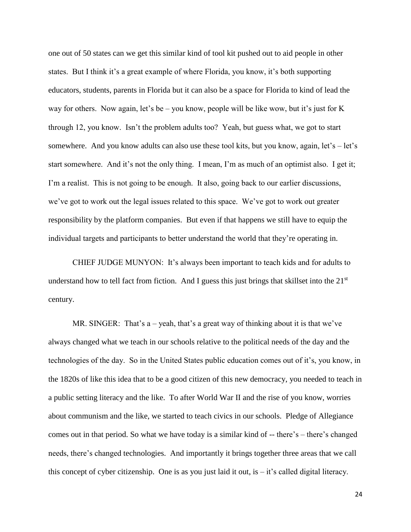one out of 50 states can we get this similar kind of tool kit pushed out to aid people in other states. But I think it's a great example of where Florida, you know, it's both supporting educators, students, parents in Florida but it can also be a space for Florida to kind of lead the way for others. Now again, let's be – you know, people will be like wow, but it's just for K through 12, you know. Isn't the problem adults too? Yeah, but guess what, we got to start somewhere. And you know adults can also use these tool kits, but you know, again, let's – let's start somewhere. And it's not the only thing. I mean, I'm as much of an optimist also. I get it; I'm a realist. This is not going to be enough. It also, going back to our earlier discussions, we've got to work out the legal issues related to this space. We've got to work out greater responsibility by the platform companies. But even if that happens we still have to equip the individual targets and participants to better understand the world that they're operating in.

CHIEF JUDGE MUNYON: It's always been important to teach kids and for adults to understand how to tell fact from fiction. And I guess this just brings that skillset into the 21<sup>st</sup> century.

MR. SINGER: That's  $a - \text{yeah}$ , that's a great way of thinking about it is that we've always changed what we teach in our schools relative to the political needs of the day and the technologies of the day. So in the United States public education comes out of it's, you know, in the 1820s of like this idea that to be a good citizen of this new democracy, you needed to teach in a public setting literacy and the like. To after World War II and the rise of you know, worries about communism and the like, we started to teach civics in our schools. Pledge of Allegiance comes out in that period. So what we have today is a similar kind of -- there's – there's changed needs, there's changed technologies. And importantly it brings together three areas that we call this concept of cyber citizenship. One is as you just laid it out, is  $-$  it's called digital literacy.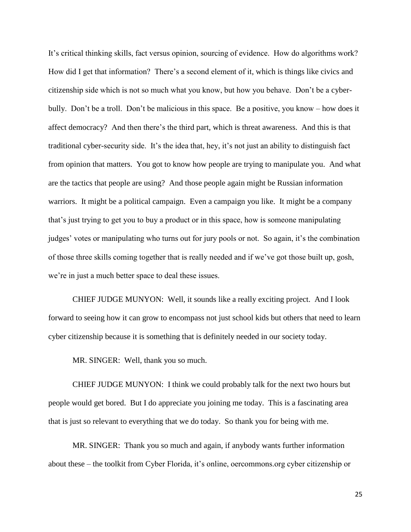It's critical thinking skills, fact versus opinion, sourcing of evidence. How do algorithms work? How did I get that information? There's a second element of it, which is things like civics and citizenship side which is not so much what you know, but how you behave. Don't be a cyberbully. Don't be a troll. Don't be malicious in this space. Be a positive, you know – how does it affect democracy? And then there's the third part, which is threat awareness. And this is that traditional cyber-security side. It's the idea that, hey, it's not just an ability to distinguish fact from opinion that matters. You got to know how people are trying to manipulate you. And what are the tactics that people are using? And those people again might be Russian information warriors. It might be a political campaign. Even a campaign you like. It might be a company that's just trying to get you to buy a product or in this space, how is someone manipulating judges' votes or manipulating who turns out for jury pools or not. So again, it's the combination of those three skills coming together that is really needed and if we've got those built up, gosh, we're in just a much better space to deal these issues.

CHIEF JUDGE MUNYON: Well, it sounds like a really exciting project. And I look forward to seeing how it can grow to encompass not just school kids but others that need to learn cyber citizenship because it is something that is definitely needed in our society today.

MR. SINGER: Well, thank you so much.

CHIEF JUDGE MUNYON: I think we could probably talk for the next two hours but people would get bored. But I do appreciate you joining me today. This is a fascinating area that is just so relevant to everything that we do today. So thank you for being with me.

MR. SINGER: Thank you so much and again, if anybody wants further information about these – the toolkit from Cyber Florida, it's online, oercommons.org cyber citizenship or